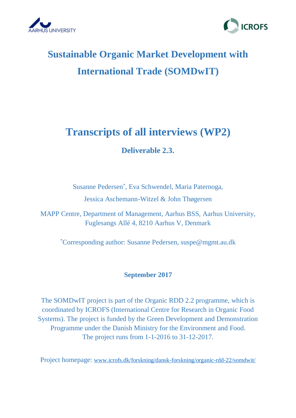



# **Sustainable Organic Market Development with International Trade (SOMDwIT)**

## **Transcripts of all interviews (WP2)**

## **Deliverable 2.3.**

Susanne Pedersen\* , Eva Schwendel, Maria Paternoga, Jessica Aschemann-Witzel & John Thøgersen

MAPP Centre, Department of Management, Aarhus BSS, Aarhus University, Fuglesangs Allé 4, 8210 Aarhus V, Denmark

\*Corresponding author: Susanne Pedersen, suspe@mgmt.au.dk

### **September 2017**

The SOMDwIT project is part of the Organic RDD 2.2 programme, which is coordinated by ICROFS (International Centre for Research in Organic Food Systems). The project is funded by the Green Development and Demonstration Programme under the Danish Ministry for the Environment and Food. The project runs from 1-1-2016 to 31-12-2017.

Project homepage: [www.icrofs.dk/forskning/dansk-forskning/organic-rdd-22/somdwit/](http://www.icrofs.dk/forskning/dansk-forskning/organic-rdd-22/somdwit/)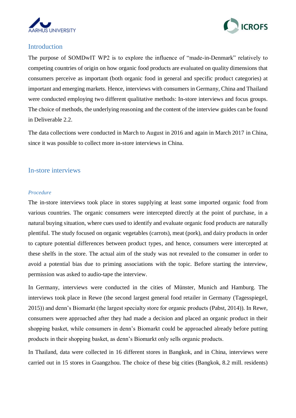



#### Introduction

The purpose of SOMDwIT WP2 is to explore the influence of "made-in-Denmark" relatively to competing countries of origin on how organic food products are evaluated on quality dimensions that consumers perceive as important (both organic food in general and specific product categories) at important and emerging markets. Hence, interviews with consumers in Germany, China and Thailand were conducted employing two different qualitative methods: In-store interviews and focus groups. The choice of methods, the underlying reasoning and the content of the interview guides can be found in Deliverable 2.2.

The data collections were conducted in March to August in 2016 and again in March 2017 in China, since it was possible to collect more in-store interviews in China.

#### In-store interviews

#### *Procedure*

The in-store interviews took place in stores supplying at least some imported organic food from various countries. The organic consumers were intercepted directly at the point of purchase, in a natural buying situation, where cues used to identify and evaluate organic food products are naturally plentiful. The study focused on organic vegetables (carrots), meat (pork), and dairy products in order to capture potential differences between product types, and hence, consumers were intercepted at these shelfs in the store. The actual aim of the study was not revealed to the consumer in order to avoid a potential bias due to priming associations with the topic. Before starting the interview, permission was asked to audio-tape the interview.

In Germany, interviews were conducted in the cities of Münster, Munich and Hamburg. The interviews took place in Rewe (the second largest general food retailer in Germany [\(Tagesspiegel,](#page-5-0)  [2015\)](#page-5-0)) and denn's Biomarkt (the largest specialty store for organic products [\(Pabst, 2014\)](#page-5-1)). In Rewe, consumers were approached after they had made a decision and placed an organic product in their shopping basket, while consumers in denn's Biomarkt could be approached already before putting products in their shopping basket, as denn's Biomarkt only sells organic products.

In Thailand, data were collected in 16 different stores in Bangkok, and in China, interviews were carried out in 15 stores in Guangzhou. The choice of these big cities (Bangkok, 8.2 mill. residents)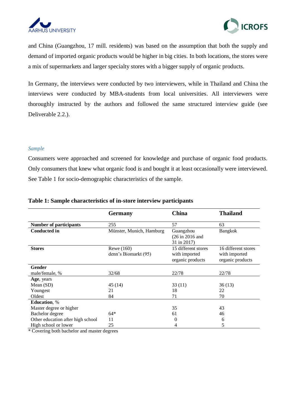



and China (Guangzhou, 17 mill. residents) was based on the assumption that both the supply and demand of imported organic products would be higher in big cities. In both locations, the stores were a mix of supermarkets and larger specialty stores with a bigger supply of organic products.

In Germany, the interviews were conducted by two interviewers, while in Thailand and China the interviews were conducted by MBA-students from local universities. All interviewers were thoroughly instructed by the authors and followed the same structured interview guide (see Deliverable 2.2.).

#### *Sample*

Consumers were approached and screened for knowledge and purchase of organic food products. Only consumers that knew what organic food is and bought it at least occasionally were interviewed. See Table 1 for socio-demographic characteristics of the sample.

|                                   | <b>Germany</b>                     | <b>China</b>                                                    | <b>Thailand</b>                                          |
|-----------------------------------|------------------------------------|-----------------------------------------------------------------|----------------------------------------------------------|
| <b>Number of participants</b>     | 255                                | 57                                                              | 63                                                       |
| <b>Conducted in</b>               | Münster, Munich, Hamburg           | Guangzhou<br>$(26 \text{ in } 2016 \text{ and }$<br>31 in 2017) | <b>Bangkok</b>                                           |
| <b>Stores</b>                     | Rewe (160)<br>denn's Biomarkt (95) | 15 different stores<br>with imported<br>organic products        | 16 different stores<br>with imported<br>organic products |
| <b>Gender</b>                     |                                    |                                                                 |                                                          |
| male/female, %                    | 32/68                              | 22/78                                                           | 22/78                                                    |
| Age, years                        |                                    |                                                                 |                                                          |
| Mean $(SD)$                       | 45(14)                             | 33(11)                                                          | 36(13)                                                   |
| Youngest                          | 21                                 | 18                                                              | 22                                                       |
| Oldest                            | 84                                 | 71                                                              | 70                                                       |
| <b>Education</b> , %              |                                    |                                                                 |                                                          |
| Master degree or higher           |                                    | 35                                                              | 43                                                       |
| Bachelor degree                   | $64*$                              | 61                                                              | 46                                                       |
| Other education after high school | 11                                 | 0                                                               | 6                                                        |
| High school or lower              | 25                                 |                                                                 | 5                                                        |

#### **Table 1: Sample characteristics of in-store interview participants**

\* Covering both bachelor and master degrees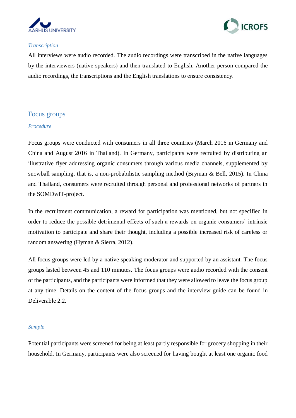



#### *Transcription*

All interviews were audio recorded. The audio recordings were transcribed in the native languages by the interviewers (native speakers) and then translated to English. Another person compared the audio recordings, the transcriptions and the English translations to ensure consistency.

#### Focus groups

#### *Procedure*

Focus groups were conducted with consumers in all three countries (March 2016 in Germany and China and August 2016 in Thailand). In Germany, participants were recruited by distributing an illustrative flyer addressing organic consumers through various media channels, supplemented by snowball sampling, that is, a non-probabilistic sampling method [\(Bryman & Bell, 2015\)](#page-5-2). In China and Thailand, consumers were recruited through personal and professional networks of partners in the SOMDwIT-project.

In the recruitment communication, a reward for participation was mentioned, but not specified in order to reduce the possible detrimental effects of such a rewards on organic consumers' intrinsic motivation to participate and share their thought, including a possible increased risk of careless or random answering [\(Hyman & Sierra, 2012\)](#page-5-3).

All focus groups were led by a native speaking moderator and supported by an assistant. The focus groups lasted between 45 and 110 minutes. The focus groups were audio recorded with the consent of the participants, and the participants were informed that they were allowed to leave the focus group at any time. Details on the content of the focus groups and the interview guide can be found in Deliverable 2.2.

#### *Sample*

Potential participants were screened for being at least partly responsible for grocery shopping in their household. In Germany, participants were also screened for having bought at least one organic food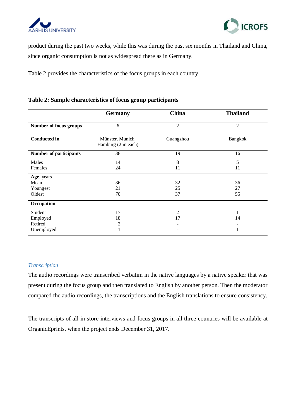



product during the past two weeks, while this was during the past six months in Thailand and China, since organic consumption is not as widespread there as in Germany.

Table 2 provides the characteristics of the focus groups in each country.

#### **Table 2: Sample characteristics of focus group participants**

|                               | <b>Germany</b>                          | <b>China</b>   | <b>Thailand</b> |
|-------------------------------|-----------------------------------------|----------------|-----------------|
| Number of focus groups        | 6                                       | $\overline{2}$ | $\mathfrak{2}$  |
| <b>Conducted in</b>           | Münster, Munich,<br>Hamburg (2 in each) | Guangzhou      | Bangkok         |
| <b>Number of participants</b> | 38                                      | 19             | 16              |
| Males<br>Females              | 14<br>24                                | 8<br>11        | 5<br>11         |
| Age, years                    |                                         |                |                 |
| Mean                          | 36                                      | 32             | 36              |
| Youngest<br>Oldest            | 21<br>70                                | 25<br>37       | 27<br>55        |
| Occupation                    |                                         |                |                 |
| Student                       | 17                                      | 2              |                 |
| Employed                      | 18                                      | 17             | 14              |
| Retired                       | $\overline{c}$                          |                |                 |
| Unemployed                    | 1                                       |                | 1               |

#### *Transcription*

The audio recordings were transcribed verbatim in the native languages by a native speaker that was present during the focus group and then translated to English by another person. Then the moderator compared the audio recordings, the transcriptions and the English translations to ensure consistency.

The transcripts of all in-store interviews and focus groups in all three countries will be available at OrganicEprints, when the project ends December 31, 2017.